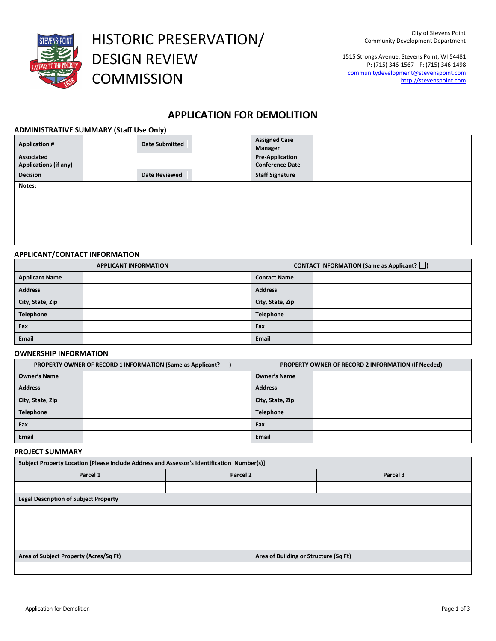

HISTORIC PRESERVATION/ DESIGN REVIEW **COMMISSION** 

1515 Strongs Avenue, Stevens Point, WI 54481 P: (715) 346-1567 F: (715) 346-1498 communitydevelopment@stevenspoint.com http://stevenspoint.com

# **APPLICATION FOR DEMOLITION**

## **ADMINISTRATIVE SUMMARY (Staff Use Only)**

| <b>Application #</b>         | . .<br><b>Date Submitted</b> | <b>Assigned Case</b><br>Manager |  |
|------------------------------|------------------------------|---------------------------------|--|
| Associated                   |                              | <b>Pre-Application</b>          |  |
| <b>Applications (if any)</b> |                              | <b>Conference Date</b>          |  |
| <b>Decision</b>              | <b>Date Reviewed</b>         | <b>Staff Signature</b>          |  |
| Notes:                       |                              |                                 |  |
|                              |                              |                                 |  |
|                              |                              |                                 |  |
|                              |                              |                                 |  |
|                              |                              |                                 |  |

## **APPLICANT/CONTACT INFORMATION**

| <b>APPLICANT INFORMATION</b> |  | <b>CONTACT INFORMATION (Same as Applicant?</b> $\Box$ ) |  |
|------------------------------|--|---------------------------------------------------------|--|
| <b>Applicant Name</b>        |  | <b>Contact Name</b>                                     |  |
| <b>Address</b>               |  | <b>Address</b>                                          |  |
| City, State, Zip             |  | City, State, Zip                                        |  |
| Telephone                    |  | Telephone                                               |  |
| Fax                          |  | Fax                                                     |  |
| Email                        |  | <b>Email</b>                                            |  |

# **OWNERSHIP INFORMATION**

|                     | <b>PROPERTY OWNER OF RECORD 1 INFORMATION (Same as Applicant?</b> $\Box$ ) |                     | PROPERTY OWNER OF RECORD 2 INFORMATION (If Needed) |
|---------------------|----------------------------------------------------------------------------|---------------------|----------------------------------------------------|
| <b>Owner's Name</b> |                                                                            | <b>Owner's Name</b> |                                                    |
| <b>Address</b>      |                                                                            | <b>Address</b>      |                                                    |
| City, State, Zip    |                                                                            | City, State, Zip    |                                                    |
| Telephone           |                                                                            | <b>Telephone</b>    |                                                    |
| Fax                 |                                                                            | Fax                 |                                                    |
| <b>Email</b>        |                                                                            | <b>Email</b>        |                                                    |

# **PROJECT SUMMARY**

| Subject Property Location [Please Include Address and Assessor's Identification Number(s)] |          |                                       |          |  |  |
|--------------------------------------------------------------------------------------------|----------|---------------------------------------|----------|--|--|
| Parcel 1                                                                                   | Parcel 2 |                                       | Parcel 3 |  |  |
|                                                                                            |          |                                       |          |  |  |
| <b>Legal Description of Subject Property</b>                                               |          |                                       |          |  |  |
|                                                                                            |          |                                       |          |  |  |
|                                                                                            |          |                                       |          |  |  |
|                                                                                            |          |                                       |          |  |  |
|                                                                                            |          |                                       |          |  |  |
| Area of Subject Property (Acres/Sq Ft)                                                     |          | Area of Building or Structure (Sq Ft) |          |  |  |
|                                                                                            |          |                                       |          |  |  |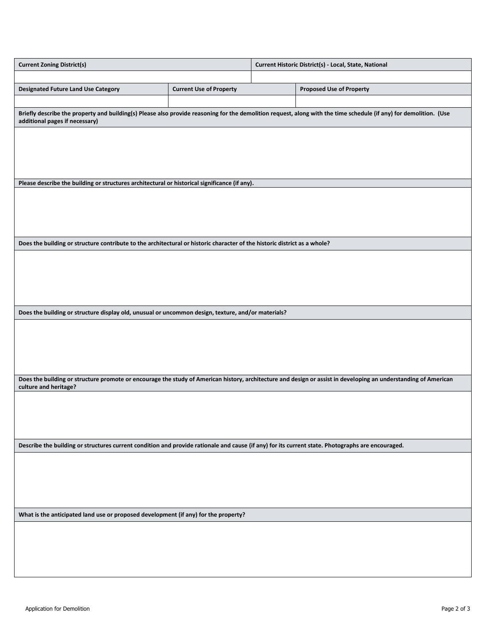| <b>Current Zoning District(s)</b>                                                                                                                                                        |                                                                                                                                                                    |  | Current Historic District(s) - Local, State, National |  |
|------------------------------------------------------------------------------------------------------------------------------------------------------------------------------------------|--------------------------------------------------------------------------------------------------------------------------------------------------------------------|--|-------------------------------------------------------|--|
|                                                                                                                                                                                          |                                                                                                                                                                    |  |                                                       |  |
| <b>Designated Future Land Use Category</b>                                                                                                                                               | <b>Current Use of Property</b>                                                                                                                                     |  | <b>Proposed Use of Property</b>                       |  |
| additional pages if necessary)                                                                                                                                                           | Briefly describe the property and building(s) Please also provide reasoning for the demolition request, along with the time schedule (if any) for demolition. (Use |  |                                                       |  |
|                                                                                                                                                                                          |                                                                                                                                                                    |  |                                                       |  |
|                                                                                                                                                                                          |                                                                                                                                                                    |  |                                                       |  |
|                                                                                                                                                                                          |                                                                                                                                                                    |  |                                                       |  |
| Please describe the building or structures architectural or historical significance (if any).                                                                                            |                                                                                                                                                                    |  |                                                       |  |
|                                                                                                                                                                                          |                                                                                                                                                                    |  |                                                       |  |
|                                                                                                                                                                                          |                                                                                                                                                                    |  |                                                       |  |
|                                                                                                                                                                                          |                                                                                                                                                                    |  |                                                       |  |
|                                                                                                                                                                                          |                                                                                                                                                                    |  |                                                       |  |
| Does the building or structure contribute to the architectural or historic character of the historic district as a whole?                                                                |                                                                                                                                                                    |  |                                                       |  |
|                                                                                                                                                                                          |                                                                                                                                                                    |  |                                                       |  |
|                                                                                                                                                                                          |                                                                                                                                                                    |  |                                                       |  |
|                                                                                                                                                                                          |                                                                                                                                                                    |  |                                                       |  |
|                                                                                                                                                                                          |                                                                                                                                                                    |  |                                                       |  |
| Does the building or structure display old, unusual or uncommon design, texture, and/or materials?                                                                                       |                                                                                                                                                                    |  |                                                       |  |
|                                                                                                                                                                                          |                                                                                                                                                                    |  |                                                       |  |
|                                                                                                                                                                                          |                                                                                                                                                                    |  |                                                       |  |
|                                                                                                                                                                                          |                                                                                                                                                                    |  |                                                       |  |
|                                                                                                                                                                                          |                                                                                                                                                                    |  |                                                       |  |
| Does the building or structure promote or encourage the study of American history, architecture and design or assist in developing an understanding of American<br>culture and heritage? |                                                                                                                                                                    |  |                                                       |  |
|                                                                                                                                                                                          |                                                                                                                                                                    |  |                                                       |  |
|                                                                                                                                                                                          |                                                                                                                                                                    |  |                                                       |  |
|                                                                                                                                                                                          |                                                                                                                                                                    |  |                                                       |  |
|                                                                                                                                                                                          |                                                                                                                                                                    |  |                                                       |  |
| Describe the building or structures current condition and provide rationale and cause (if any) for its current state. Photographs are encouraged.                                        |                                                                                                                                                                    |  |                                                       |  |
|                                                                                                                                                                                          |                                                                                                                                                                    |  |                                                       |  |
|                                                                                                                                                                                          |                                                                                                                                                                    |  |                                                       |  |
|                                                                                                                                                                                          |                                                                                                                                                                    |  |                                                       |  |
|                                                                                                                                                                                          |                                                                                                                                                                    |  |                                                       |  |
| What is the anticipated land use or proposed development (if any) for the property?                                                                                                      |                                                                                                                                                                    |  |                                                       |  |
|                                                                                                                                                                                          |                                                                                                                                                                    |  |                                                       |  |
|                                                                                                                                                                                          |                                                                                                                                                                    |  |                                                       |  |
|                                                                                                                                                                                          |                                                                                                                                                                    |  |                                                       |  |
|                                                                                                                                                                                          |                                                                                                                                                                    |  |                                                       |  |